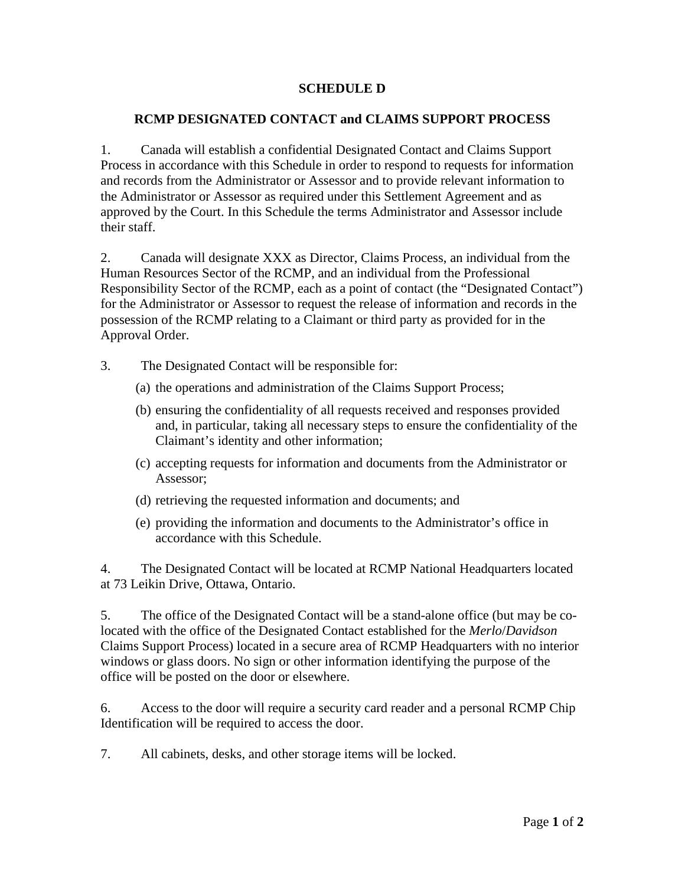## **SCHEDULE D**

## **RCMP DESIGNATED CONTACT and CLAIMS SUPPORT PROCESS**

1. Canada will establish a confidential Designated Contact and Claims Support Process in accordance with this Schedule in order to respond to requests for information and records from the Administrator or Assessor and to provide relevant information to the Administrator or Assessor as required under this Settlement Agreement and as approved by the Court. In this Schedule the terms Administrator and Assessor include their staff.

2. Canada will designate XXX as Director, Claims Process, an individual from the Human Resources Sector of the RCMP, and an individual from the Professional Responsibility Sector of the RCMP, each as a point of contact (the "Designated Contact") for the Administrator or Assessor to request the release of information and records in the possession of the RCMP relating to a Claimant or third party as provided for in the Approval Order.

- 3. The Designated Contact will be responsible for:
	- (a) the operations and administration of the Claims Support Process;
	- (b) ensuring the confidentiality of all requests received and responses provided and, in particular, taking all necessary steps to ensure the confidentiality of the Claimant's identity and other information;
	- (c) accepting requests for information and documents from the Administrator or Assessor;
	- (d) retrieving the requested information and documents; and
	- (e) providing the information and documents to the Administrator's office in accordance with this Schedule.

4. The Designated Contact will be located at RCMP National Headquarters located at 73 Leikin Drive, Ottawa, Ontario.

5. The office of the Designated Contact will be a stand-alone office (but may be colocated with the office of the Designated Contact established for the *Merlo*/*Davidson* Claims Support Process) located in a secure area of RCMP Headquarters with no interior windows or glass doors. No sign or other information identifying the purpose of the office will be posted on the door or elsewhere.

6. Access to the door will require a security card reader and a personal RCMP Chip Identification will be required to access the door.

7. All cabinets, desks, and other storage items will be locked.